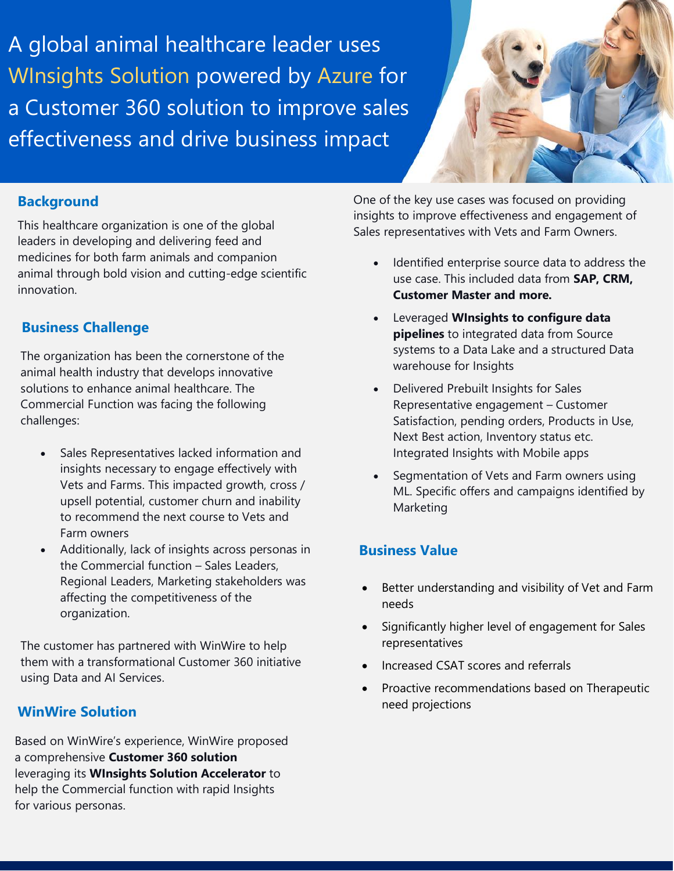A global animal healthcare leader uses WInsights Solution powered by Azure for a Customer 360 solution to improve sales effectiveness and drive business impact



#### **Background**

This healthcare organization is one of the global leaders in developing and delivering feed and medicines for both farm animals and companion animal through bold vision and cutting-edge scientific innovation.

### **Business Challenge**

The organization has been the cornerstone of the animal health industry that develops innovative solutions to enhance animal healthcare. The Commercial Function was facing the following challenges:

- Sales Representatives lacked information and insights necessary to engage effectively with Vets and Farms. This impacted growth, cross / upsell potential, customer churn and inability to recommend the next course to Vets and Farm owners
- Additionally, lack of insights across personas in the Commercial function – Sales Leaders, Regional Leaders, Marketing stakeholders was affecting the competitiveness of the organization.

The customer has partnered with WinWire to help them with a transformational Customer 360 initiative using Data and AI Services.

## **WinWire Solution**

Based on WinWire's experience, WinWire proposed a comprehensive **Customer 360 solution** leveraging its **WInsights Solution Accelerator** to help the Commercial function with rapid Insights for various personas.

One of the key use cases was focused on providing insights to improve effectiveness and engagement of Sales representatives with Vets and Farm Owners.

- Identified enterprise source data to address the use case. This included data from **SAP, CRM, Customer Master and more.**
- Leveraged **WInsights to configure data pipelines** to integrated data from Source systems to a Data Lake and a structured Data warehouse for Insights
- Delivered Prebuilt Insights for Sales Representative engagement – Customer Satisfaction, pending orders, Products in Use, Next Best action, Inventory status etc. Integrated Insights with Mobile apps
- Segmentation of Vets and Farm owners using ML. Specific offers and campaigns identified by Marketing

### **Business Value**

- Better understanding and visibility of Vet and Farm needs
- Significantly higher level of engagement for Sales representatives
- Increased CSAT scores and referrals
- Proactive recommendations based on Therapeutic need projections